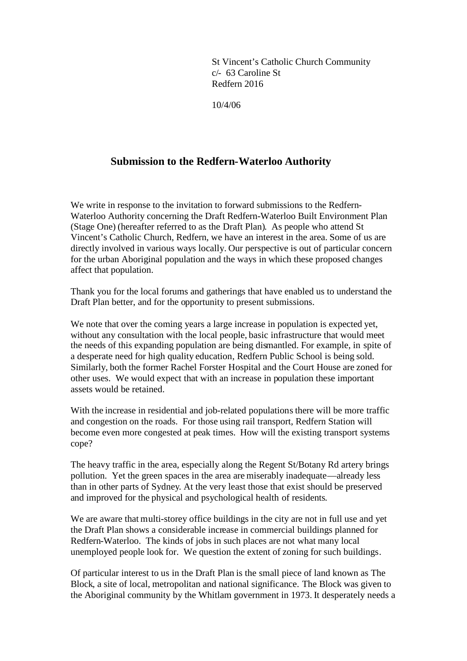St Vincent's Catholic Church Community c/- 63 Caroline St Redfern 2016

10/4/06

## **Submission to the Redfern-Waterloo Authority**

We write in response to the invitation to forward submissions to the Redfern-Waterloo Authority concerning the Draft Redfern-Waterloo Built Environment Plan (Stage One) (hereafter referred to as the Draft Plan). As people who attend St Vincent's Catholic Church, Redfern, we have an interest in the area. Some of us are directly involved in various ways locally. Our perspective is out of particular concern for the urban Aboriginal population and the ways in which these proposed changes affect that population.

Thank you for the local forums and gatherings that have enabled us to understand the Draft Plan better, and for the opportunity to present submissions.

We note that over the coming years a large increase in population is expected yet, without any consultation with the local people, basic infrastructure that would meet the needs of this expanding population are being dismantled. For example, in spite of a desperate need for high quality education, Redfern Public School is being sold. Similarly, both the former Rachel Forster Hospital and the Court House are zoned for other uses. We would expect that with an increase in population these important assets would be retained.

With the increase in residential and job-related populations there will be more traffic and congestion on the roads. For those using rail transport, Redfern Station will become even more congested at peak times. How will the existing transport systems cope?

The heavy traffic in the area, especially along the Regent St/Botany Rd artery brings pollution. Yet the green spaces in the area are miserably inadequate—already less than in other parts of Sydney. At the very least those that exist should be preserved and improved for the physical and psychological health of residents.

We are aware that multi-storey office buildings in the city are not in full use and yet the Draft Plan shows a considerable increase in commercial buildings planned for Redfern-Waterloo. The kinds of jobs in such places are not what many local unemployed people look for. We question the extent of zoning for such buildings.

Of particular interest to us in the Draft Plan is the small piece of land known as The Block, a site of local, metropolitan and national significance. The Block was given to the Aboriginal community by the Whitlam government in 1973. It desperately needs a